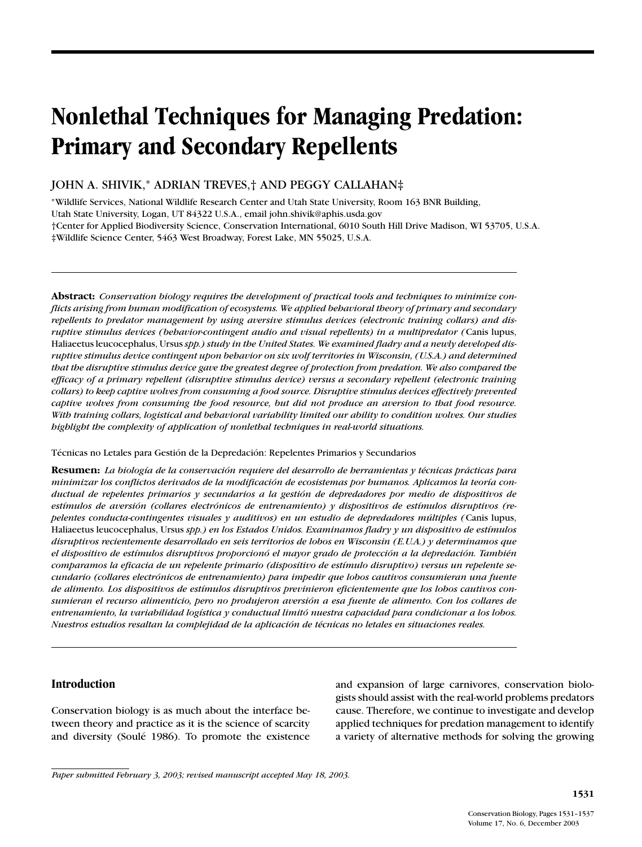# **Nonlethal Techniques for Managing Predation: Primary and Secondary Repellents**

# JOHN A. SHIVIK,<sup>∗</sup> ADRIAN TREVES,† AND PEGGY CALLAHAN‡

<sup>∗</sup>Wildlife Services, National Wildlife Research Center and Utah State University, Room 163 BNR Building, Utah State University, Logan, UT 84322 U.S.A., email john.shivik@aphis.usda.gov †Center for Applied Biodiversity Science, Conservation International, 6010 South Hill Drive Madison, WI 53705, U.S.A. ‡Wildlife Science Center, 5463 West Broadway, Forest Lake, MN 55025, U.S.A.

**Abstract:** *Conservation biology requires the development of practical tools and techniques to minimize conflicts arising from human modification of ecosystems. We applied behavioral theory of primary and secondary repellents to predator management by using aversive stimulus devices (electronic training collars) and disruptive stimulus devices (behavior-contingent audio and visual repellents) in a multipredator (*Canis lupus, Haliaeetus leucocephalus, Ursus *spp.) study in the United States. We examined fladry and a newly developed disruptive stimulus device contingent upon behavior on six wolf territories in Wisconsin, (U.S.A.) and determined that the disruptive stimulus device gave the greatest degree of protection from predation. We also compared the efficacy of a primary repellent (disruptive stimulus device) versus a secondary repellent (electronic training collars) to keep captive wolves from consuming a food source. Disruptive stimulus devices effectively prevented captive wolves from consuming the food resource, but did not produce an aversion to that food resource. With training collars, logistical and behavioral variability limited our ability to condition wolves. Our studies highlight the complexity of application of nonlethal techniques in real-world situations.*

#### Técnicas no Letales para Gestión de la Depredación: Repelentes Primarios y Secundarios

**Resumen:** *La biolog´ıa de la conservacion requiere del desarrollo de herramientas y t ´ ´ecnicas practicas para ´ minimizar los conflictos derivados de la modificación de ecosistemas por humanos. Aplicamos la teoría conductual de repelentes primarios y secundarios a la gestion de depredadores por medio de dispositivos de ´* estímulos de aversión (collares electrónicos de entrenamiento) y dispositivos de estímulos disruptivos (re*pelentes conducta-contingentes visuales y auditivos) en un estudio de depredadores multiples ( ´* Canis lupus, Haliaeetus leucocephalus, Ursus *spp.) en los Estados Unidos. Examinamos fladry y un dispositivo de estímulos disruptivos recientemente desarrollado en seis territorios de lobos en Wisconsin (E.U.A.) y determinamos que el dispositivo de est´ımulos disruptivos proporciono el mayor grado de protecci ´ on a la depredaci ´ on. Tambi ´ ´en comparamos la eficacia de un repelente primario (dispositivo de est´ımulo disruptivo) versus un repelente secundario (collares electronicos de entrenamiento) para impedir que lobos cautivos consumieran una fuente ´* de alimento. Los dispositivos de estímulos disruptivos previnieron eficientemente que los lobos cautivos con*sumieran el recurso alimenticio, pero no produjeron aversion a esa fuente de alimento. Con los collares de ´ entrenamiento, la variabilidad log´ıstica y conductual limito nuestra capacidad para condicionar a los lobos. ´ Nuestros estudios resaltan la complejidad de la aplicacion de t ´ ´ecnicas no letales en situaciones reales.*

## **Introduction**

Conservation biology is as much about the interface between theory and practice as it is the science of scarcity and diversity (Soulé 1986). To promote the existence

and expansion of large carnivores, conservation biologists should assist with the real-world problems predators cause. Therefore, we continue to investigate and develop applied techniques for predation management to identify a variety of alternative methods for solving the growing

*Paper submitted February 3, 2003; revised manuscript accepted May 18, 2003.*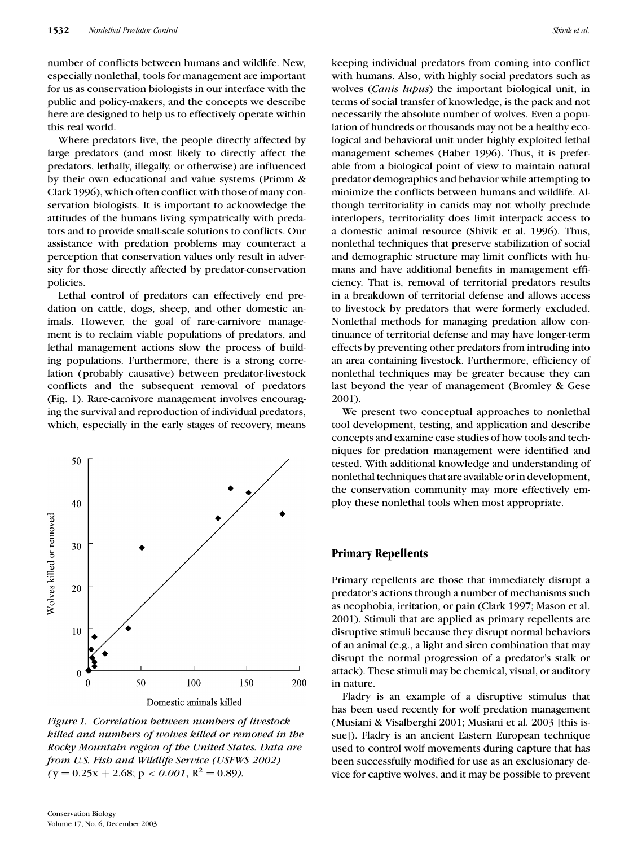number of conflicts between humans and wildlife. New, especially nonlethal, tools for management are important for us as conservation biologists in our interface with the public and policy-makers, and the concepts we describe here are designed to help us to effectively operate within this real world.

Where predators live, the people directly affected by large predators (and most likely to directly affect the predators, lethally, illegally, or otherwise) are influenced by their own educational and value systems (Primm & Clark 1996), which often conflict with those of many conservation biologists. It is important to acknowledge the attitudes of the humans living sympatrically with predators and to provide small-scale solutions to conflicts. Our assistance with predation problems may counteract a perception that conservation values only result in adversity for those directly affected by predator-conservation policies.

Lethal control of predators can effectively end predation on cattle, dogs, sheep, and other domestic animals. However, the goal of rare-carnivore management is to reclaim viable populations of predators, and lethal management actions slow the process of building populations. Furthermore, there is a strong correlation (probably causative) between predator-livestock conflicts and the subsequent removal of predators (Fig. 1). Rare-carnivore management involves encouraging the survival and reproduction of individual predators, which, especially in the early stages of recovery, means



*Figure 1. Correlation between numbers of livestock killed and numbers of wolves killed or removed in the Rocky Mountain region of the United States. Data are from U.S. Fish and Wildlife Service (USFWS 2002)*  $(y = 0.25x + 2.68; p < 0.001, R^2 = 0.89)$ .

keeping individual predators from coming into conflict with humans. Also, with highly social predators such as wolves (*Canis lupus*) the important biological unit, in terms of social transfer of knowledge, is the pack and not necessarily the absolute number of wolves. Even a population of hundreds or thousands may not be a healthy ecological and behavioral unit under highly exploited lethal management schemes (Haber 1996). Thus, it is preferable from a biological point of view to maintain natural predator demographics and behavior while attempting to minimize the conflicts between humans and wildlife. Although territoriality in canids may not wholly preclude interlopers, territoriality does limit interpack access to a domestic animal resource (Shivik et al. 1996). Thus, nonlethal techniques that preserve stabilization of social and demographic structure may limit conflicts with humans and have additional benefits in management efficiency. That is, removal of territorial predators results in a breakdown of territorial defense and allows access to livestock by predators that were formerly excluded. Nonlethal methods for managing predation allow continuance of territorial defense and may have longer-term effects by preventing other predators from intruding into an area containing livestock. Furthermore, efficiency of nonlethal techniques may be greater because they can last beyond the year of management (Bromley & Gese 2001).

We present two conceptual approaches to nonlethal tool development, testing, and application and describe concepts and examine case studies of how tools and techniques for predation management were identified and tested. With additional knowledge and understanding of nonlethal techniques that are available or in development, the conservation community may more effectively employ these nonlethal tools when most appropriate.

### **Primary Repellents**

Primary repellents are those that immediately disrupt a predator's actions through a number of mechanisms such as neophobia, irritation, or pain (Clark 1997; Mason et al. 2001). Stimuli that are applied as primary repellents are disruptive stimuli because they disrupt normal behaviors of an animal (e.g., a light and siren combination that may disrupt the normal progression of a predator's stalk or attack). These stimuli may be chemical, visual, or auditory in nature.

Fladry is an example of a disruptive stimulus that has been used recently for wolf predation management (Musiani & Visalberghi 2001; Musiani et al. 2003 [this issue]). Fladry is an ancient Eastern European technique used to control wolf movements during capture that has been successfully modified for use as an exclusionary device for captive wolves, and it may be possible to prevent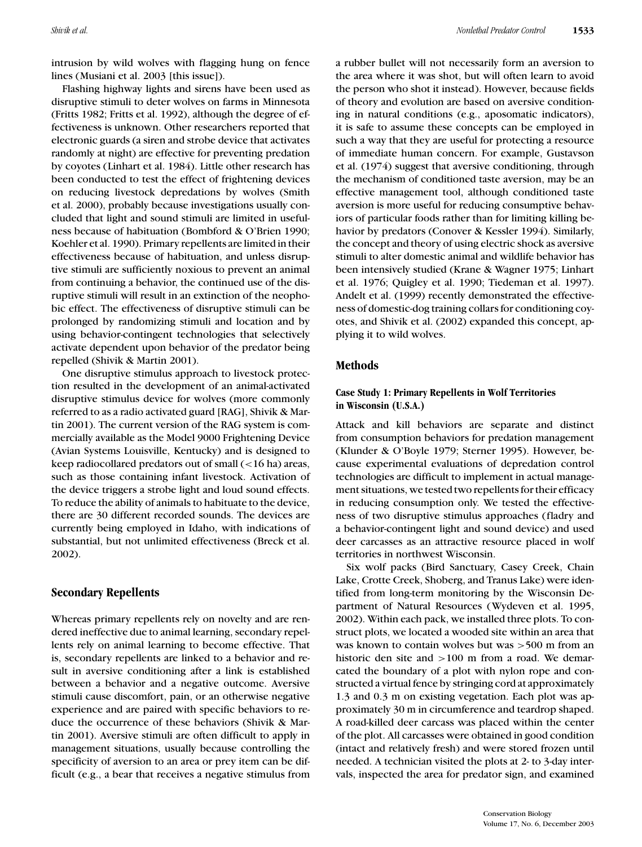intrusion by wild wolves with flagging hung on fence lines (Musiani et al. 2003 [this issue]).

Flashing highway lights and sirens have been used as disruptive stimuli to deter wolves on farms in Minnesota (Fritts 1982; Fritts et al. 1992), although the degree of effectiveness is unknown. Other researchers reported that electronic guards (a siren and strobe device that activates randomly at night) are effective for preventing predation by coyotes (Linhart et al. 1984). Little other research has been conducted to test the effect of frightening devices on reducing livestock depredations by wolves (Smith et al. 2000), probably because investigations usually concluded that light and sound stimuli are limited in usefulness because of habituation (Bombford & O'Brien 1990; Koehler et al. 1990). Primary repellents are limited in their effectiveness because of habituation, and unless disruptive stimuli are sufficiently noxious to prevent an animal from continuing a behavior, the continued use of the disruptive stimuli will result in an extinction of the neophobic effect. The effectiveness of disruptive stimuli can be prolonged by randomizing stimuli and location and by using behavior-contingent technologies that selectively activate dependent upon behavior of the predator being repelled (Shivik & Martin 2001).

One disruptive stimulus approach to livestock protection resulted in the development of an animal-activated disruptive stimulus device for wolves (more commonly referred to as a radio activated guard [RAG], Shivik & Martin 2001). The current version of the RAG system is commercially available as the Model 9000 Frightening Device (Avian Systems Louisville, Kentucky) and is designed to keep radiocollared predators out of small (<16 ha) areas, such as those containing infant livestock. Activation of the device triggers a strobe light and loud sound effects. To reduce the ability of animals to habituate to the device, there are 30 different recorded sounds. The devices are currently being employed in Idaho, with indications of substantial, but not unlimited effectiveness (Breck et al. 2002).

# **Secondary Repellents**

Whereas primary repellents rely on novelty and are rendered ineffective due to animal learning, secondary repellents rely on animal learning to become effective. That is, secondary repellents are linked to a behavior and result in aversive conditioning after a link is established between a behavior and a negative outcome. Aversive stimuli cause discomfort, pain, or an otherwise negative experience and are paired with specific behaviors to reduce the occurrence of these behaviors (Shivik & Martin 2001). Aversive stimuli are often difficult to apply in management situations, usually because controlling the specificity of aversion to an area or prey item can be difficult (e.g., a bear that receives a negative stimulus from a rubber bullet will not necessarily form an aversion to the area where it was shot, but will often learn to avoid the person who shot it instead). However, because fields of theory and evolution are based on aversive conditioning in natural conditions (e.g., aposomatic indicators), it is safe to assume these concepts can be employed in such a way that they are useful for protecting a resource of immediate human concern. For example, Gustavson et al. (1974) suggest that aversive conditioning, through the mechanism of conditioned taste aversion, may be an effective management tool, although conditioned taste aversion is more useful for reducing consumptive behaviors of particular foods rather than for limiting killing behavior by predators (Conover & Kessler 1994). Similarly, the concept and theory of using electric shock as aversive stimuli to alter domestic animal and wildlife behavior has been intensively studied (Krane & Wagner 1975; Linhart et al. 1976; Quigley et al. 1990; Tiedeman et al. 1997). Andelt et al. (1999) recently demonstrated the effectiveness of domestic-dog training collars for conditioning coyotes, and Shivik et al. (2002) expanded this concept, applying it to wild wolves.

## **Methods**

## **Case Study 1: Primary Repellents in Wolf Territories in Wisconsin (U.S.A.)**

Attack and kill behaviors are separate and distinct from consumption behaviors for predation management (Klunder & O'Boyle 1979; Sterner 1995). However, because experimental evaluations of depredation control technologies are difficult to implement in actual management situations, we tested two repellents for their efficacy in reducing consumption only. We tested the effectiveness of two disruptive stimulus approaches (fladry and a behavior-contingent light and sound device) and used deer carcasses as an attractive resource placed in wolf territories in northwest Wisconsin.

Six wolf packs (Bird Sanctuary, Casey Creek, Chain Lake, Crotte Creek, Shoberg, and Tranus Lake) were identified from long-term monitoring by the Wisconsin Department of Natural Resources (Wydeven et al. 1995, 2002). Within each pack, we installed three plots. To construct plots, we located a wooded site within an area that was known to contain wolves but was >500 m from an historic den site and >100 m from a road. We demarcated the boundary of a plot with nylon rope and constructed a virtual fence by stringing cord at approximately 1.3 and 0.3 m on existing vegetation. Each plot was approximately 30 m in circumference and teardrop shaped. A road-killed deer carcass was placed within the center of the plot. All carcasses were obtained in good condition (intact and relatively fresh) and were stored frozen until needed. A technician visited the plots at 2- to 3-day intervals, inspected the area for predator sign, and examined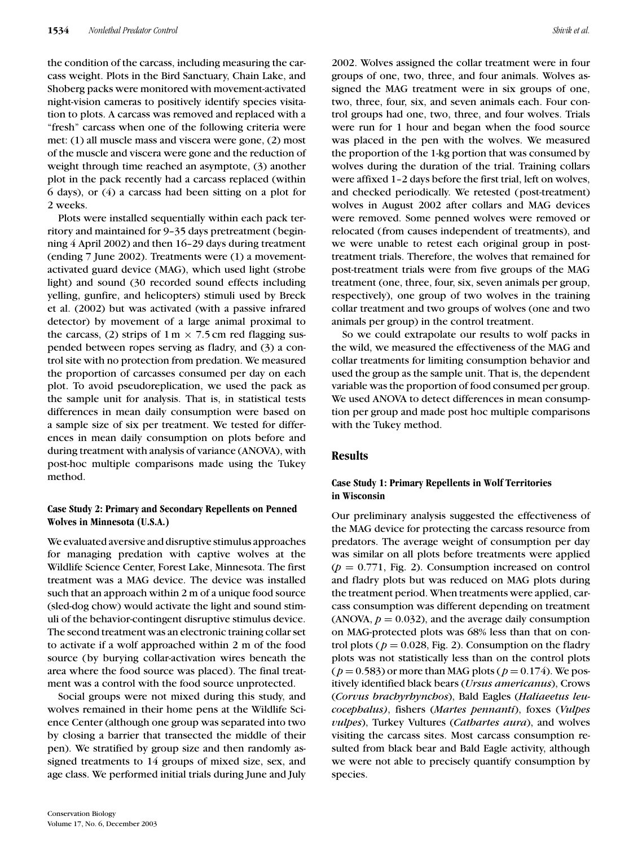the condition of the carcass, including measuring the carcass weight. Plots in the Bird Sanctuary, Chain Lake, and Shoberg packs were monitored with movement-activated night-vision cameras to positively identify species visitation to plots. A carcass was removed and replaced with a "fresh" carcass when one of the following criteria were met: (1) all muscle mass and viscera were gone, (2) most of the muscle and viscera were gone and the reduction of weight through time reached an asymptote, (3) another plot in the pack recently had a carcass replaced (within 6 days), or (4) a carcass had been sitting on a plot for 2 weeks.

Plots were installed sequentially within each pack territory and maintained for 9–35 days pretreatment (beginning 4 April 2002) and then 16–29 days during treatment (ending 7 June 2002). Treatments were (1) a movementactivated guard device (MAG), which used light (strobe light) and sound (30 recorded sound effects including yelling, gunfire, and helicopters) stimuli used by Breck et al. (2002) but was activated (with a passive infrared detector) by movement of a large animal proximal to the carcass, (2) strips of  $1 \text{ m} \times 7.5 \text{ cm}$  red flagging suspended between ropes serving as fladry, and (3) a control site with no protection from predation. We measured the proportion of carcasses consumed per day on each plot. To avoid pseudoreplication, we used the pack as the sample unit for analysis. That is, in statistical tests differences in mean daily consumption were based on a sample size of six per treatment. We tested for differences in mean daily consumption on plots before and during treatment with analysis of variance (ANOVA), with post-hoc multiple comparisons made using the Tukey method.

## **Case Study 2: Primary and Secondary Repellents on Penned Wolves in Minnesota (U.S.A.)**

We evaluated aversive and disruptive stimulus approaches for managing predation with captive wolves at the Wildlife Science Center, Forest Lake, Minnesota. The first treatment was a MAG device. The device was installed such that an approach within 2 m of a unique food source (sled-dog chow) would activate the light and sound stimuli of the behavior-contingent disruptive stimulus device. The second treatment was an electronic training collar set to activate if a wolf approached within 2 m of the food source (by burying collar-activation wires beneath the area where the food source was placed). The final treatment was a control with the food source unprotected.

Social groups were not mixed during this study, and wolves remained in their home pens at the Wildlife Science Center (although one group was separated into two by closing a barrier that transected the middle of their pen). We stratified by group size and then randomly assigned treatments to 14 groups of mixed size, sex, and age class. We performed initial trials during June and July

2002. Wolves assigned the collar treatment were in four groups of one, two, three, and four animals. Wolves assigned the MAG treatment were in six groups of one, two, three, four, six, and seven animals each. Four control groups had one, two, three, and four wolves. Trials were run for 1 hour and began when the food source was placed in the pen with the wolves. We measured the proportion of the 1-kg portion that was consumed by wolves during the duration of the trial. Training collars were affixed 1–2 days before the first trial, left on wolves, and checked periodically. We retested (post-treatment) wolves in August 2002 after collars and MAG devices were removed. Some penned wolves were removed or relocated (from causes independent of treatments), and we were unable to retest each original group in posttreatment trials. Therefore, the wolves that remained for post-treatment trials were from five groups of the MAG treatment (one, three, four, six, seven animals per group, respectively), one group of two wolves in the training collar treatment and two groups of wolves (one and two animals per group) in the control treatment.

So we could extrapolate our results to wolf packs in the wild, we measured the effectiveness of the MAG and collar treatments for limiting consumption behavior and used the group as the sample unit. That is, the dependent variable was the proportion of food consumed per group. We used ANOVA to detect differences in mean consumption per group and made post hoc multiple comparisons with the Tukey method.

## **Results**

#### **Case Study 1: Primary Repellents in Wolf Territories in Wisconsin**

Our preliminary analysis suggested the effectiveness of the MAG device for protecting the carcass resource from predators. The average weight of consumption per day was similar on all plots before treatments were applied  $(p = 0.771,$  Fig. 2). Consumption increased on control and fladry plots but was reduced on MAG plots during the treatment period. When treatments were applied, carcass consumption was different depending on treatment (ANOVA,  $p = 0.032$ ), and the average daily consumption on MAG-protected plots was 68% less than that on control plots ( $p = 0.028$ , Fig. 2). Consumption on the fladry plots was not statistically less than on the control plots  $(p = 0.583)$  or more than MAG plots  $(p = 0.174)$ . We positively identified black bears (*Ursus americanus*), Crows (*Corvus brachyrhynchos*), Bald Eagles (*Haliaeetus leucocephalus)*, fishers (*Martes pennanti*), foxes (*Vulpes vulpes*), Turkey Vultures (*Cathartes aura*), and wolves visiting the carcass sites. Most carcass consumption resulted from black bear and Bald Eagle activity, although we were not able to precisely quantify consumption by species.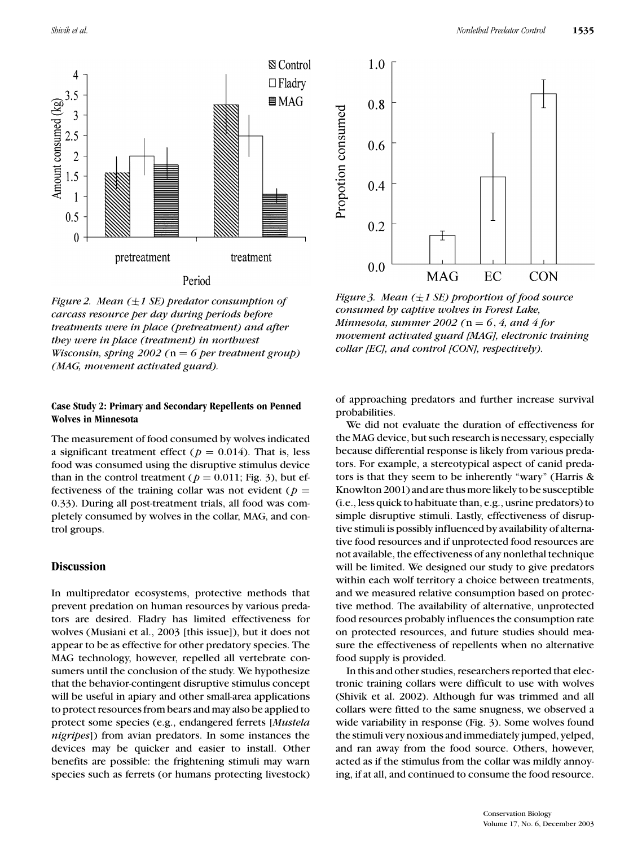

*Figure 2. Mean (*±*1 SE) predator consumption of carcass resource per day during periods before treatments were in place (pretreatment) and after they were in place (treatment) in northwest Wisconsin, spring 2002 (*n = *6 per treatment group) (MAG, movement activated guard).*

### **Case Study 2: Primary and Secondary Repellents on Penned Wolves in Minnesota**

The measurement of food consumed by wolves indicated a significant treatment effect ( $p = 0.014$ ). That is, less food was consumed using the disruptive stimulus device than in the control treatment ( $p = 0.011$ ; Fig. 3), but effectiveness of the training collar was not evident ( $p =$ 0.33). During all post-treatment trials, all food was completely consumed by wolves in the collar, MAG, and control groups.

#### **Discussion**

In multipredator ecosystems, protective methods that prevent predation on human resources by various predators are desired. Fladry has limited effectiveness for wolves (Musiani et al., 2003 [this issue]), but it does not appear to be as effective for other predatory species. The MAG technology, however, repelled all vertebrate consumers until the conclusion of the study. We hypothesize that the behavior-contingent disruptive stimulus concept will be useful in apiary and other small-area applications to protect resources from bears and may also be applied to protect some species (e.g., endangered ferrets [*Mustela nigripes*]) from avian predators. In some instances the devices may be quicker and easier to install. Other benefits are possible: the frightening stimuli may warn species such as ferrets (or humans protecting livestock)



*Figure 3. Mean (*±*1 SE) proportion of food source consumed by captive wolves in Forest Lake, Minnesota, summer 2002 (*n = *6*, *4, and 4 for movement activated guard [MAG], electronic training collar [EC], and control [CON], respectively).*

of approaching predators and further increase survival probabilities.

We did not evaluate the duration of effectiveness for the MAG device, but such research is necessary, especially because differential response is likely from various predators. For example, a stereotypical aspect of canid predators is that they seem to be inherently "wary" (Harris & Knowlton 2001) and are thus more likely to be susceptible (i.e., less quick to habituate than, e.g., usrine predators) to simple disruptive stimuli. Lastly, effectiveness of disruptive stimuli is possibly influenced by availability of alternative food resources and if unprotected food resources are not available, the effectiveness of any nonlethal technique will be limited. We designed our study to give predators within each wolf territory a choice between treatments, and we measured relative consumption based on protective method. The availability of alternative, unprotected food resources probably influences the consumption rate on protected resources, and future studies should measure the effectiveness of repellents when no alternative food supply is provided.

In this and other studies, researchers reported that electronic training collars were difficult to use with wolves (Shivik et al. 2002). Although fur was trimmed and all collars were fitted to the same snugness, we observed a wide variability in response (Fig. 3). Some wolves found the stimuli very noxious and immediately jumped, yelped, and ran away from the food source. Others, however, acted as if the stimulus from the collar was mildly annoying, if at all, and continued to consume the food resource.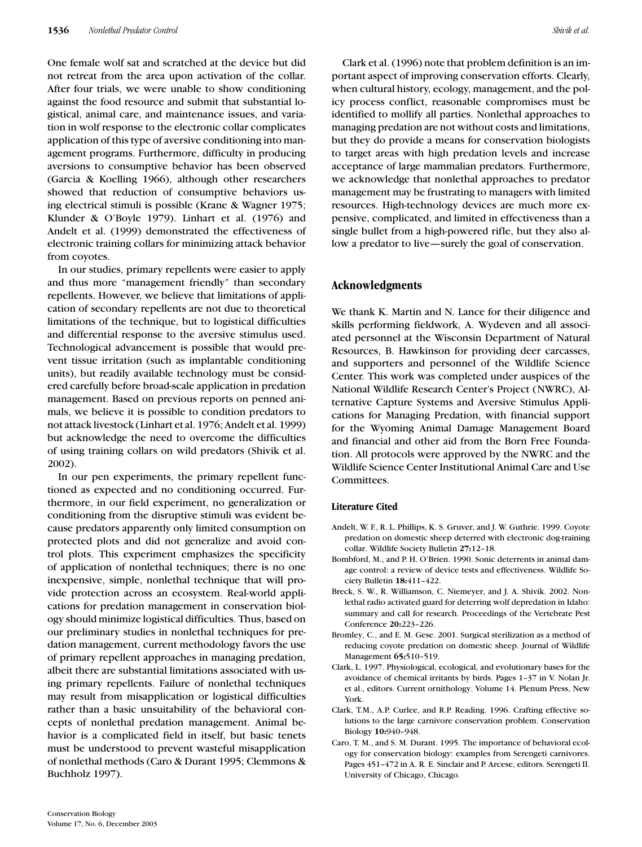One female wolf sat and scratched at the device but did not retreat from the area upon activation of the collar. After four trials, we were unable to show conditioning against the food resource and submit that substantial logistical, animal care, and maintenance issues, and variation in wolf response to the electronic collar complicates application of this type of aversive conditioning into management programs. Furthermore, difficulty in producing aversions to consumptive behavior has been observed (Garcia & Koelling 1966), although other researchers showed that reduction of consumptive behaviors using electrical stimuli is possible (Krane & Wagner 1975; Klunder & O'Boyle 1979). Linhart et al. (1976) and Andelt et al. (1999) demonstrated the effectiveness of electronic training collars for minimizing attack behavior from coyotes.

In our studies, primary repellents were easier to apply and thus more "management friendly" than secondary repellents. However, we believe that limitations of application of secondary repellents are not due to theoretical limitations of the technique, but to logistical difficulties and differential response to the aversive stimulus used. Technological advancement is possible that would prevent tissue irritation (such as implantable conditioning units), but readily available technology must be considered carefully before broad-scale application in predation management. Based on previous reports on penned animals, we believe it is possible to condition predators to not attack livestock (Linhart et al. 1976; Andelt et al. 1999) but acknowledge the need to overcome the difficulties of using training collars on wild predators (Shivik et al. 2002).

In our pen experiments, the primary repellent functioned as expected and no conditioning occurred. Furthermore, in our field experiment, no generalization or conditioning from the disruptive stimuli was evident because predators apparently only limited consumption on protected plots and did not generalize and avoid control plots. This experiment emphasizes the specificity of application of nonlethal techniques; there is no one inexpensive, simple, nonlethal technique that will provide protection across an ecosystem. Real-world applications for predation management in conservation biology should minimize logistical difficulties. Thus, based on our preliminary studies in nonlethal techniques for predation management, current methodology favors the use of primary repellent approaches in managing predation, albeit there are substantial limitations associated with using primary repellents. Failure of nonlethal techniques may result from misapplication or logistical difficulties rather than a basic unsuitability of the behavioral concepts of nonlethal predation management. Animal behavior is a complicated field in itself, but basic tenets must be understood to prevent wasteful misapplication of nonlethal methods (Caro & Durant 1995; Clemmons & Buchholz 1997).

Clark et al. (1996) note that problem definition is an important aspect of improving conservation efforts. Clearly, when cultural history, ecology, management, and the policy process conflict, reasonable compromises must be identified to mollify all parties. Nonlethal approaches to managing predation are not without costs and limitations, but they do provide a means for conservation biologists to target areas with high predation levels and increase acceptance of large mammalian predators. Furthermore, we acknowledge that nonlethal approaches to predator management may be frustrating to managers with limited resources. High-technology devices are much more expensive, complicated, and limited in effectiveness than a single bullet from a high-powered rifle, but they also allow a predator to live—surely the goal of conservation.

# **Acknowledgments**

We thank K. Martin and N. Lance for their diligence and skills performing fieldwork, A. Wydeven and all associated personnel at the Wisconsin Department of Natural Resources, B. Hawkinson for providing deer carcasses, and supporters and personnel of the Wildlife Science Center. This work was completed under auspices of the National Wildlife Research Center's Project (NWRC), Alternative Capture Systems and Aversive Stimulus Applications for Managing Predation, with financial support for the Wyoming Animal Damage Management Board and financial and other aid from the Born Free Foundation. All protocols were approved by the NWRC and the Wildlife Science Center Institutional Animal Care and Use Committees.

#### **Literature Cited**

- Andelt, W. F., R. L. Phillips, K. S. Gruver, and J. W. Guthrie. 1999. Coyote predation on domestic sheep deterred with electronic dog-training collar. Wildlife Society Bulletin **27:**12–18.
- Bombford, M., and P. H. O'Brien. 1990. Sonic deterrents in animal damage control: a review of device tests and effectiveness. Wildlife Society Bulletin **18:**411–422.
- Breck, S. W., R. Williamson, C. Niemeyer, and J. A. Shivik. 2002. Nonlethal radio activated guard for deterring wolf depredation in Idaho: summary and call for research. Proceedings of the Vertebrate Pest Conference **20:**223–226.
- Bromley, C., and E. M. Gese. 2001. Surgical sterilization as a method of reducing coyote predation on domestic sheep. Journal of Wildlife Management **65:**510–519.
- Clark, L. 1997. Physiological, ecological, and evolutionary bases for the avoidance of chemical irritants by birds. Pages 1–37 in V. Nolan Jr. et al., editors. Current ornithology. Volume 14. Plenum Press, New York.
- Clark, T.M., A.P. Curlee, and R.P. Reading. 1996. Crafting effective solutions to the large carnivore conservation problem. Conservation Biology **10:**940–948.
- Caro, T. M., and S. M. Durant. 1995. The importance of behavioral ecology for conservation biology: examples from Serengeti carnivores. Pages 451–472 in A. R. E. Sinclair and P. Arcese, editors. Serengeti II. University of Chicago, Chicago.